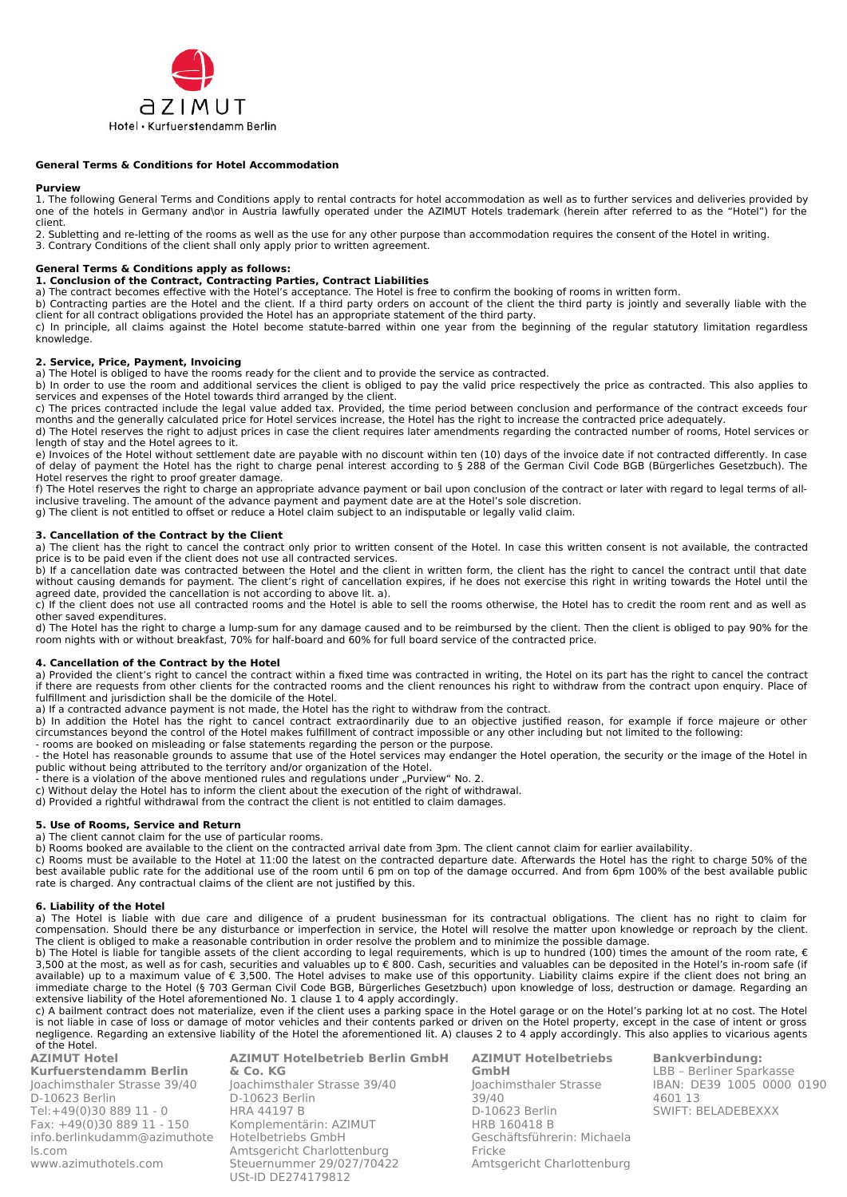

### **General Terms & Conditions for Hotel Accommodation**

#### **Purview**

1. The following General Terms and Conditions apply to rental contracts for hotel accommodation as well as to further services and deliveries provided by one of the hotels in Germany and\or in Austria lawfully operated under the AZIMUT Hotels trademark (herein after referred to as the "Hotel") for the client.

2. Subletting and re-letting of the rooms as well as the use for any other purpose than accommodation requires the consent of the Hotel in writing. 3. Contrary Conditions of the client shall only apply prior to written agreement.

## **General Terms & Conditions apply as follows:**

#### **1. Conclusion of the Contract, Contracting Parties, Contract Liabilities**

a) The contract becomes effective with the Hotel's acceptance. The Hotel is free to confirm the booking of rooms in written form.

b) Contracting parties are the Hotel and the client. If a third party orders on account of the client the third party is jointly and severally liable with the client for all contract obligations provided the Hotel has an appropriate statement of the third party.

c) In principle, all claims against the Hotel become statute-barred within one year from the beginning of the regular statutory limitation regardless knowledge.

#### **2. Service, Price, Payment, Invoicing**

a) The Hotel is obliged to have the rooms ready for the client and to provide the service as contracted.

b) In order to use the room and additional services the client is obliged to pay the valid price respectively the price as contracted. This also applies to services and expenses of the Hotel towards third arranged by the client.

c) The prices contracted include the legal value added tax. Provided, the time period between conclusion and performance of the contract exceeds four months and the generally calculated price for Hotel services increase, the Hotel has the right to increase the contracted price adequately.

d) The Hotel reserves the right to adjust prices in case the client requires later amendments regarding the contracted number of rooms, Hotel services or length of stay and the Hotel agrees to it.

e) Invoices of the Hotel without settlement date are payable with no discount within ten (10) days of the invoice date if not contracted differently. In case of delay of payment the Hotel has the right to charge penal interest according to § 288 of the German Civil Code BGB (Bürgerliches Gesetzbuch). The Hotel reserves the right to proof greater damage.

f) The Hotel reserves the right to charge an appropriate advance payment or bail upon conclusion of the contract or later with regard to legal terms of allinclusive traveling. The amount of the advance payment and payment date are at the Hotel's sole discretion.

g) The client is not entitled to offset or reduce a Hotel claim subject to an indisputable or legally valid claim.

#### **3. Cancellation of the Contract by the Client**

a) The client has the right to cancel the contract only prior to written consent of the Hotel. In case this written consent is not available, the contracted price is to be paid even if the client does not use all contracted services.

b) If a cancellation date was contracted between the Hotel and the client in written form, the client has the right to cancel the contract until that date without causing demands for payment. The client's right of cancellation expires, if he does not exercise this right in writing towards the Hotel until the agreed date, provided the cancellation is not according to above lit. a).

c) If the client does not use all contracted rooms and the Hotel is able to sell the rooms otherwise, the Hotel has to credit the room rent and as well as other saved expenditures.

d) The Hotel has the right to charge a lump-sum for any damage caused and to be reimbursed by the client. Then the client is obliged to pay 90% for the room nights with or without breakfast, 70% for half-board and 60% for full board service of the contracted price.

#### **4. Cancellation of the Contract by the Hotel**

a) Provided the client's right to cancel the contract within a fixed time was contracted in writing, the Hotel on its part has the right to cancel the contract if there are requests from other clients for the contracted rooms and the client renounces his right to withdraw from the contract upon enquiry. Place of fulfillment and jurisdiction shall be the domicile of the Hotel.

a) If a contracted advance payment is not made, the Hotel has the right to withdraw from the contract.

b) In addition the Hotel has the right to cancel contract extraordinarily due to an objective justified reason, for example if force majeure or other circumstances beyond the control of the Hotel makes fulfillment of contract impossible or any other including but not limited to the following:

- rooms are booked on misleading or false statements regarding the person or the purpose. - the Hotel has reasonable grounds to assume that use of the Hotel services may endanger the Hotel operation, the security or the image of the Hotel in public without being attributed to the territory and/or organization of the Hotel.

- there is a violation of the above mentioned rules and regulations under "Purview" No. 2.

c) Without delay the Hotel has to inform the client about the execution of the right of withdrawal.

d) Provided a rightful withdrawal from the contract the client is not entitled to claim damages.

#### **5. Use of Rooms, Service and Return**

a) The client cannot claim for the use of particular rooms.

b) Rooms booked are available to the client on the contracted arrival date from 3pm. The client cannot claim for earlier availability.

c) Rooms must be available to the Hotel at 11:00 the latest on the contracted departure date. Afterwards the Hotel has the right to charge 50% of the best available public rate for the additional use of the room until 6 pm on top of the damage occurred. And from 6pm 100% of the best available public rate is charged. Any contractual claims of the client are not justified by this.

#### **6. Liability of the Hotel**

a) The Hotel is liable with due care and diligence of a prudent businessman for its contractual obligations. The client has no right to claim for compensation. Should there be any disturbance or imperfection in service, the Hotel will resolve the matter upon knowledge or reproach by the client. The client is obliged to make a reasonable contribution in order resolve the problem and to minimize the possible damage.

b) The Hotel is liable for tangible assets of the client according to legal requirements, which is up to hundred (100) times the amount of the room rate, € 3,500 at the most, as well as for cash, securities and valuables up to € 800. Cash, securities and valuables can be deposited in the Hotel's in-room safe (if available) up to a maximum value of € 3,500. The Hotel advises to make use of this opportunity. Liability claims expire if the client does not bring an immediate charge to the Hotel (§ 703 German Civil Code BGB, Bürgerliches Gesetzbuch) upon knowledge of loss, destruction or damage. Regarding an extensive liability of the Hotel aforementioned No. 1 clause 1 to 4 apply accordingly.

c) A bailment contract does not materialize, even if the client uses a parking space in the Hotel garage or on the Hotel's parking lot at no cost. The Hotel is not liable in case of loss or damage of motor vehicles and their contents parked or driven on the Hotel property, except in the case of intent or gross negligence. Regarding an extensive liability of the Hotel the aforementioned lit. A) clauses 2 to 4 apply accordingly. This also applies to vicarious agents of the Hotel.

**AZIMUT Hotel Kurfuerstendamm Berlin**  Joachimsthaler Strasse 39/40 D-10623 Berlin Tel:+49(0)30 889 11 - 0 Fax: +49(0)30 889 11 - 150 [info.berlinkudamm@azimuthote](mailto:info.berlinkudamm@azimuthotels.com) [ls.com](mailto:info.berlinkudamm@azimuthotels.com) [www.azimuthotels](http://www.azimuthotels.com/).com

**AZIMUT Hotelbetrieb Berlin GmbH & Co. KG** Joachimsthaler Strasse 39/40 D-10623 Berlin HRA 44197 B Komplementärin: AZIMUT Hotelbetriebs GmbH Amtsgericht Charlottenburg Steuernummer 29/027/70422 USt-ID DE274179812

**AZIMUT Hotelbetriebs GmbH** Joachimsthaler Strasse 39/40 D-10623 Berlin HRB 160418 B Geschäftsführerin: Michaela Fricke Amtsgericht Charlottenburg

**Bankverbindung:** LBB – Berliner Sparkasse IBAN: DE39 1005 0000 0190 4601 13 SWIFT: BELADEBEXXX